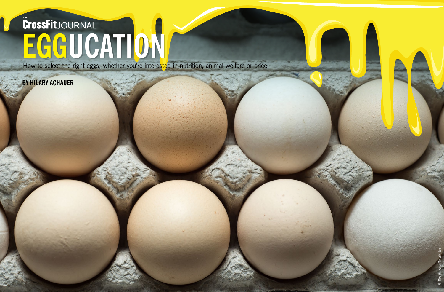

# **EGG EGGUCATION UCATION**

How to select the right eggs, whether you're interested in nutrition, animal welfare or price.

# **BY HILARY ACHAUER**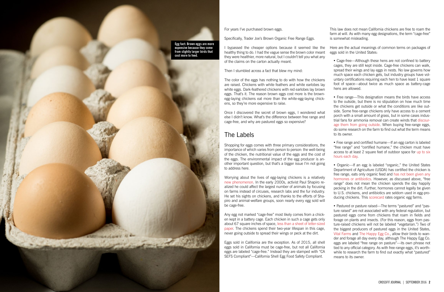This law does not mean California chickens are free to roam the farm at will. As with many egg designations, the term "cage-free" is somewhat misleading.

Here are the actual meanings of common terms on packages of eggs sold in the United States:

• Cage-free—Although these hens are not confined to battery cages, they are still kept inside. Cage-free chickens can walk, spread their wings and lay eggs in nests. No law governs how much space each chicken gets, but industry groups have voluntary certifications requiring each hen to have least 1 square foot of space—about twice as much space as battery-cage hens are allowed.

• Free range—This designation means the birds have access to the outside, but there is no stipulation on how much time the chickens get outside or what the conditions are like outside. Some free-range chickens only have access to a cement porch with a small amount of grass, but in some cases industrial fans for ammonia removal can create winds that [discour](http://www.npr.org/sections/thesalt/2014/12/23/370377902/farm-fresh-natural-eggs-not-always-what-they-re-cracked-up-to-be)[age them from going outside](http://www.npr.org/sections/thesalt/2014/12/23/370377902/farm-fresh-natural-eggs-not-always-what-they-re-cracked-up-to-be). When buying free-range eggs, do some research on the farm to find out what the term means to its owner.

• Free range and certified humane—If an egg carton is labeled "free range" and "certified humane," the chicken must have access to at least 2 square feet of outdoor space for [up to six](http://time.com/3664951/organic-free-range-omega-3-eggs-what-to-buy/) [hours each day](http://time.com/3664951/organic-free-range-omega-3-eggs-what-to-buy/).

• Organic—If an egg is labeled "organic," the United States Department of Agriculture (USDA) has certified the chicken is free range, eats only organic feed and [has not been given any](http://www.npr.org/sections/thesalt/2014/12/23/370377902/farm-fresh-natural-eggs-not-always-what-they-re-cracked-up-to-be) [hormones or antibiotics.](http://www.npr.org/sections/thesalt/2014/12/23/370377902/farm-fresh-natural-eggs-not-always-what-they-re-cracked-up-to-be) However, as discussed above, "free range" does not mean the chicken spends the day happily pecking in the dirt. Further, hormones cannot legally be given to U.S. chickens, and antibiotics are seldom used in egg-producing chickens. This [scorecard](http://www.cornucopia.org/organic-egg-scorecard/) rates organic egg farms.

• Pastured or pasture raised—The terms "pastured" and "pasture raised" are not associated with any federal regulation, but pastured eggs come from chickens that roam in fields and forage on plants and insects. (For this reason, eggs from pasture-raised chickens will not be labeled "vegetarian.") Two of the biggest producers of pastured eggs in the United States, [Vital Farms](http://vitalfarms.com/pasture-raised-eggs) and [The Happy Egg Co.](http://thehappyeggco.com), allow their birds to wander and forage all day every day, although The Happy Egg Co. eggs are labeled "free range on pasture"—its own phrase not tied to any official category. As with free-range eggs, it's worthwhile to research the farm to find out exactly what "pastured" means to its owner.

### For years I've purchased brown eggs.

Specifically, Trader Joe's Brown Organic Free Range Eggs.

I bypassed the cheaper options because it seemed like the healthy thing to do. I had the vague sense the brown color meant they were healthier, more natural, but I couldn't tell you what any of the claims on the carton actually meant.

Then I stumbled across a fact that blew my mind:

The color of the eggs has nothing to do with how the chickens are raised. Chickens with white feathers and white earlobes lay white eggs. Dark-feathered chickens with red earlobes lay brown eggs. That's it. The reason brown eggs cost more is the brownegg-laying chickens eat more than the white-egg-laying chickens, so they're more expensive to raise.

Once I discovered the secret of brown eggs, I wondered what else I didn't know. What's the difference between free range and cage-free, and why are pastured eggs so expensive?

### The Labels

Shopping for eggs comes with three primary considerations, the importance of which varies from person to person: the well-being of the chicken, the nutritional value of the eggs and the cost of the eggs. The environmental impact of the egg producer is another important question, but that's a bigger issue I'm not going to address here.

Worrying about the lives of egg-laying chickens is a relatively [new phenomenon](http://www.slate.com/articles/health_and_science/science/2016/08/animal_activists_crunched_the_numbers_to_learn_that_the_creature_most_in.html). In the early 2000s, activist Paul Shapiro realized he could affect the largest number of animals by focusing on farms instead of circuses, research labs and the fur industry. He set his sights on chickens, and thanks to the efforts of Shapiro and animal-welfare groups, soon nearly every egg sold will be cage-free.

Any egg not marked "cage-free" most likely comes from a chicken kept in a battery cage. Each chicken in such a cage gets only about 67 square inches of space, [less than a sheet of letter-sized](http://www.humanesociety.org/issues/confinement_farm/facts/cage-free_vs_battery-cage.html?referrer=https://www.google.com/) [paper.](http://www.humanesociety.org/issues/confinement_farm/facts/cage-free_vs_battery-cage.html?referrer=https://www.google.com/) The chickens spend their two-year lifespan in this cage, never going outside to spread their wings or peck at the dirt.

Eggs sold in California are the exception. As of 2015, all shell eggs sold in California must be cage-free, but not all California eggs are labeled "cage-free." Instead they are stamped with "CA SEFS Compliant"—California Shell Egg Food Safety Compliant.



alltimous daves 100